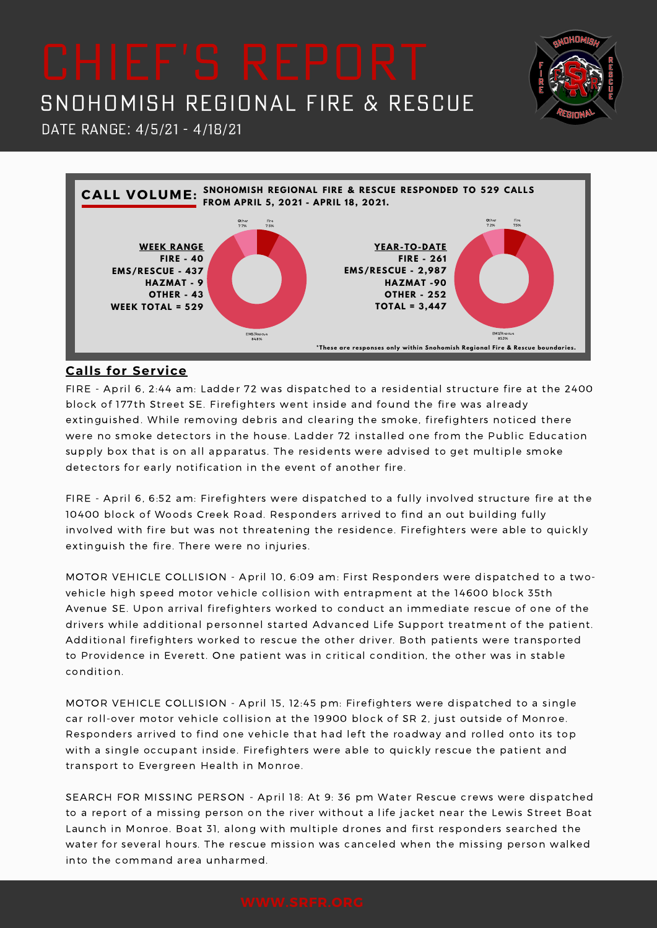

Date Range: 4/5/21 - 4/18/21



### **Calls for Service**

FIRE - April 6, 2:44 am: Ladder 72 was dispatched to a residential structure fire at the 2400 block of 177th Street SE. Firefighters went inside and found the fire was already extinguished. While removing debris and clearing the smoke, firefighters noticed there were no smoke detectors in the house. Ladder 72 installed one from the Public Education supply box that is on all apparatus. The residents were advised to get multiple smoke detectors for early notification in the event of another fire.

FIRE - April 6, 6:52 am: Firefighters were dispatched to a fully involved structure fire at the 10400 block of Woods Creek Road. Responders arrived to find an out building fully involved with fire but was not threatening the residence. Firefighters were able to quickly extinguish the fire. There were no injuries.

MOTOR VEHICLE COLLISION - April 10, 6:09 am: First Responders were dispatched to a twovehicle high speed motor vehicle collision with entrapment at the 14600 block 35th Avenue SE. Upon arrival firefighters worked to conduct an immediate rescue of one of the drivers while additional personnel started Advanced Life Support treatment of the patient. Additional firefighters worked to rescue the other driver. Both patients were transported to Providence in Everett. One patient was in critical condition, the other was in stable condition.

MOTOR VEHICLE COLLISION - April 15, 12:45 pm: Firefighters were dispatched to a single car roll-over motor vehicle collision at the 19900 block of SR 2, just outside of Monroe. Responders arrived to find one vehicle that had left the roadway and rolled onto its top with a single occupant inside. Firefighters were able to quickly rescue the patient and transport to Evergreen Health in Monroe.

SEARCH FOR MISSING PERSON - April 18: At 9: 36 pm Water Rescue crews were dispatched to a report of a missing person on the river without a life jacket near the Lewis Street Boat Launch in Monroe. Boat 31, along with multiple drones and first responders searched the water for several hours. The rescue mission was canceled when the missing person walked into the command area unharmed.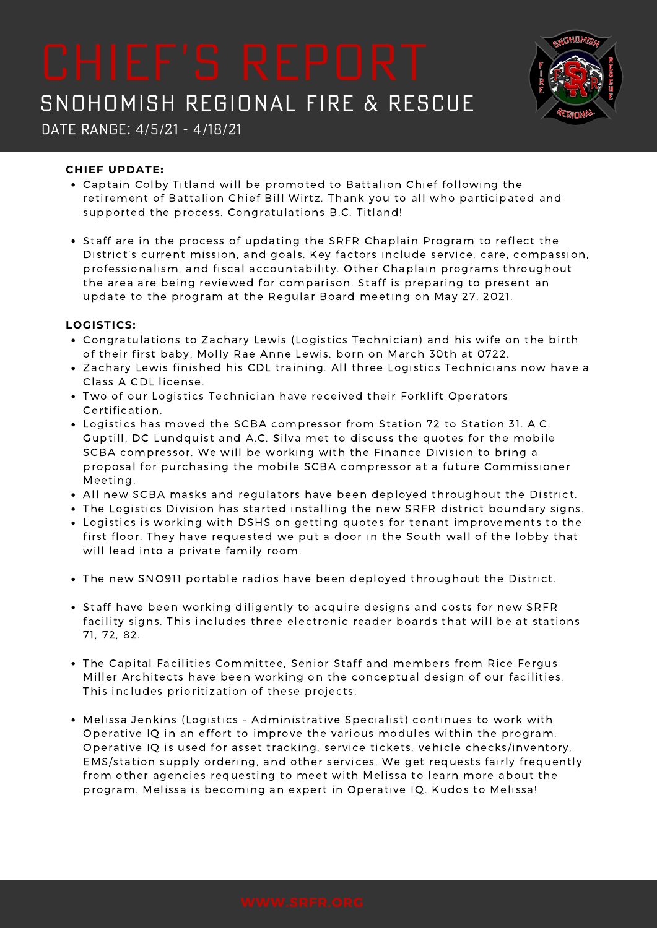

Date Range: 4/5/21 - 4/18/21

### **CHIEF UPDATE:**

- Captain Colby Titland will be promoted to Battalion Chief following the retirement of Battalion Chief Bill Wirtz. Thank you to all who participated and supported the process. Congratulations B.C. Titland!
- Staff are in the process of updating the SRFR Chaplain Program to reflect the District's current mission, and goals. Key factors include service, care, compassion, professionalism, and fiscal accountability. Other Chaplain programs throughout the area are being reviewed for comparison. Staff is preparing to present an update to the program at the Regular Board meeting on May 27, 2021.

### **LOGISTICS:**

- Congratulations to Zachary Lewis (Logistics Technician) and his wife on the birth of their first baby, Molly Rae Anne Lewis, born on March 30th at 0722.
- Zachary Lewis finished his CDL training. All three Logistics Technicians now have a Class A CDL license.
- Two of our Logistics Technician have received their Forklift Operators Certification.
- Logistics has moved the SCBA compressor from Station 72 to Station 31. A.C. Guptill, DC Lundquist and A.C. Silva met to discuss the quotes for the mobile SCBA compressor. We will be working with the Finance Division to bring a proposal for purchasing the mobile SCBA compressor at a future Commissioner Meeting.
- All new SCBA masks and regulators have been deployed throughout the District.
- The Logistics Division has started installing the new SRFR district boundary signs.
- Logistics is working with DSHS on getting quotes for tenant improvements to the first floor. They have requested we put a door in the South wall of the lobby that will lead into a private family room.
- The new SNO911 portable radios have been deployed throughout the District.
- Staff have been working diligently to acquire designs and costs for new SRFR facility signs. This includes three electronic reader boards that will be at stations 71, 72, 82.
- The Capital Facilities Committee, Senior Staff and members from Rice Fergus Miller Architects have been working on the conceptual design of our facilities. This includes prioritization of these projects.
- Melissa Jenkins (Logistics Administrative Specialist) continues to work with Operative IQ in an effort to improve the various modules within the program. Operative IQ is used for asset tracking, service tickets, vehicle checks/inventory, EMS/station supply ordering, and other services. We get requests fairly frequently from other agencies requesting to meet with Melissa to learn more about the program. Melissa is becoming an expert in Operative IQ. Kudos to Melissa!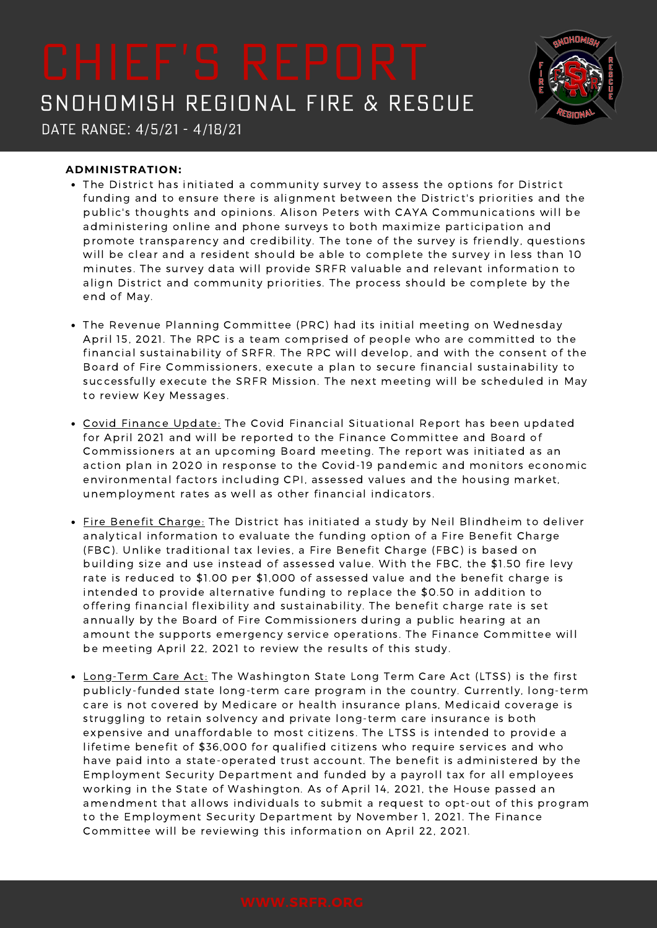

Date Range: 4/5/21 - 4/18/21

### **ADMINISTRATION:**

- The District has initiated a community survey to assess the options for District funding and to ensure there is alignment between the District's priorities and the public's thoughts and opinions. Alison Peters with CAYA Communications will be administering online and phone surveys to both maximize participation and promote transparency and credibility. The tone of the survey is friendly, questions will be clear and a resident should be able to complete the survey in less than 10 minutes. The survey data will provide SRFR valuable and relevant information to align District and community priorities. The process should be complete by the end of May.
- The Revenue Planning Committee (PRC) had its initial meeting on Wednesday April 15, 2021. The RPC is a team comprised of people who are committed to the financial sustainability of SRFR. The RPC will develop, and with the consent of the Board of Fire Commissioners, execute a plan to secure financial sustainability to successfully execute the SRFR Mission. The next meeting will be scheduled in May to review Key Messages.
- Covid Finance Update: The Covid Financial Situational Report has been updated for April 2021 and will be reported to the Finance Committee and Board of Commissioners at an upcoming Board meeting. The report was initiated as an action plan in 2020 in response to the Covid-19 pandemic and monitors economic environmental factors including CPI, assessed values and the housing market, unemployment rates as well as other financial indicators.
- Fire Benefit Charge: The District has initiated a study by Neil Blindheim to deliver analytical information to evaluate the funding option of a Fire Benefit Charge (FBC). Unlike traditional tax levies, a Fire Benefit Charge (FBC) is based on building size and use instead of assessed value. With the FBC, the \$1.50 fire levy rate is reduced to \$1.00 per \$1,000 of assessed value and the benefit charge is intended to provide alternative funding to replace the \$0.50 in addition to offering financial flexibility and sustainability. The benefit charge rate is set annually by the Board of Fire Commissioners during a public hearing at an amount the supports emergency service operations. The Finance Committee will be meeting April 22, 2021 to review the results of this study.
- Long-Term Care Act: The Washington State Long Term Care Act (LTSS) is the first publicly-funded state long-term care program in the country. Currently, long-term care is not covered by Medicare or health insurance plans, Medicaid coverage is struggling to retain solvency and private long-term care insurance is both expensive and unaffordable to most citizens. The LTSS is intended to provide a lifetime benefit of \$36,000 for qualified citizens who require services and who have paid into a state-operated trust account. The benefit is administered by the Employment Security Department and funded by a payroll tax for all employees working in the State of Washington. As of April 14, 2021, the House passed an amendment that allows individuals to submit a request to opt-out of this program to the Employment Security Department by November 1, 2021. The Finance Committee will be reviewing this information on April 22, 2021.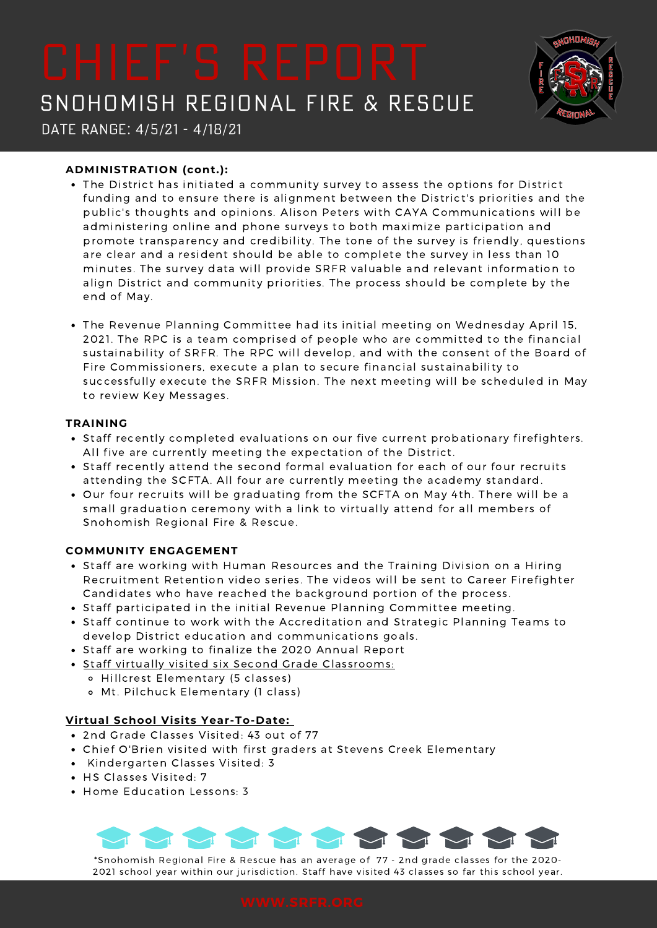

Date Range: 4/5/21 - 4/18/21

### **ADMINISTRATION (cont.):**

- The District has initiated a community survey to assess the options for District funding and to ensure there is alignment between the District's priorities and the public's thoughts and opinions. Alison Peters with CAYA Communications will be administering online and phone surveys to both maximize participation and promote transparency and credibility. The tone of the survey is friendly, questions are clear and a resident should be able to complete the survey in less than 10 minutes. The survey data will provide SRFR valuable and relevant information to align District and community priorities. The process should be complete by the end of May.
- The Revenue Planning Committee had its initial meeting on Wednesday April 15, 2021. The RPC is a team comprised of people who are committed to the financial sustainability of SRFR. The RPC will develop, and with the consent of the Board of Fire Commissioners, execute a plan to secure financial sustainability to successfully execute the SRFR Mission. The next meeting will be scheduled in May to review Key Messages.

#### **TRAINING**

- Staff recently completed evaluations on our five current probationary firefighters. All five are currently meeting the expectation of the District.
- Staff recently attend the second formal evaluation for each of our four recruits attending the SCFTA. All four are currently meeting the academy standard.
- Our four recruits will be graduating from the SCFTA on May 4th. There will be a small graduation ceremony with a link to virtually attend for all members of Snohomish Regional Fire & Rescue.

### **COMMUNITY ENGAGEMENT**

- Staff are working with Human Resources and the Training Division on a Hiring Recruitment Retention video series. The videos will be sent to Career Firefighter Candidates who have reached the background portion of the process.
- Staff participated in the initial Revenue Planning Committee meeting.
- Staff continue to work with the Accreditation and Strategic Planning Teams to develop District education and communications goals.
- Staff are working to finalize the 2020 Annual Report
- Staff virtually visited six Second Grade Classrooms:
	- Hillcrest Elementary (5 classes)
	- Mt. Pilchuck Elementary (1 class)

### **Virtual School Visits Year-To-Date:**

- 2nd Grade Classes Visited: 43 out of 77
- Chief O'Brien visited with first graders at Stevens Creek Elementary
- Kindergarten Classes Visited: 3
- HS Classes Visited: 7
- Home Education Lessons: 3



\*Snohomish Regional Fire & Rescue has an average of 77 - 2nd grade classes for the 2020- 2021 school year within our jurisdiction. Staff have visited 43 classes so far this school year.